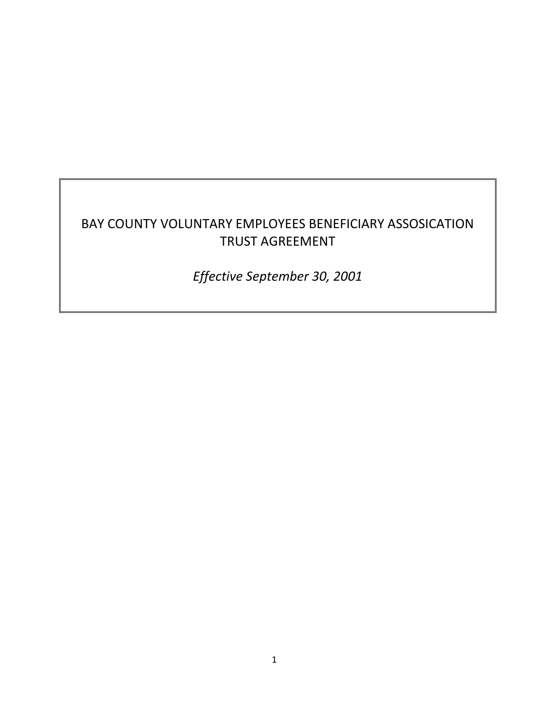# BAY COUNTY VOLUNTARY EMPLOYEES BENEFICIARY ASSOSICATION TRUST AGREEMENT

*Effective September 30, 2001*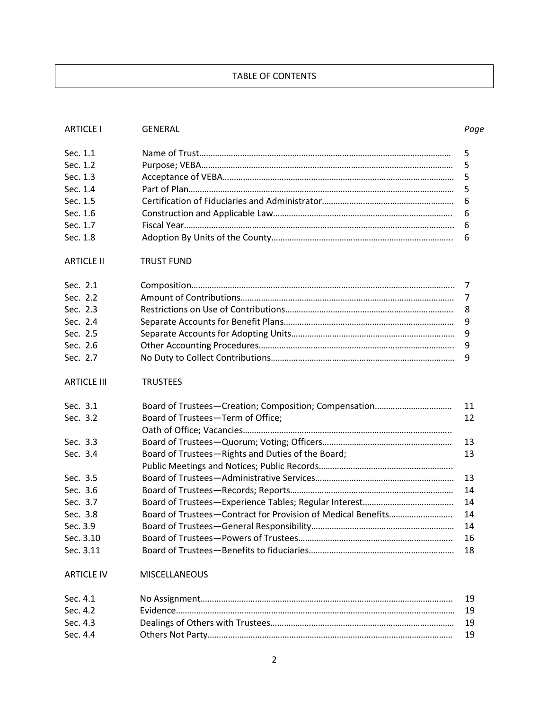# TABLE OF CONTENTS

| <b>ARTICLE I</b>   | <b>GENERAL</b>                                               | Page |  |
|--------------------|--------------------------------------------------------------|------|--|
| Sec. 1.1           |                                                              | 5    |  |
| Sec. 1.2           |                                                              | 5    |  |
| Sec. 1.3           | 5                                                            |      |  |
| Sec. 1.4           | 5                                                            |      |  |
| Sec. 1.5           | 6                                                            |      |  |
| Sec. 1.6           | 6                                                            |      |  |
| Sec. 1.7           | 6                                                            |      |  |
| Sec. 1.8           |                                                              | 6    |  |
| <b>ARTICLE II</b>  | <b>TRUST FUND</b>                                            |      |  |
| Sec. 2.1           |                                                              | 7    |  |
| Sec. 2.2           |                                                              | 7    |  |
| Sec. 2.3           |                                                              | 8    |  |
| Sec. 2.4           |                                                              | 9    |  |
| Sec. 2.5           |                                                              | 9    |  |
| Sec. 2.6           |                                                              | 9    |  |
| Sec. 2.7           |                                                              | 9    |  |
| <b>ARTICLE III</b> | <b>TRUSTEES</b>                                              |      |  |
| Sec. 3.1           |                                                              | 11   |  |
| Sec. 3.2           | Board of Trustees-Term of Office;                            | 12   |  |
|                    |                                                              |      |  |
| Sec. 3.3           |                                                              | 13   |  |
| Sec. 3.4           | Board of Trustees-Rights and Duties of the Board;            | 13   |  |
|                    |                                                              |      |  |
| Sec. 3.5           |                                                              | 13   |  |
| Sec. 3.6           |                                                              | 14   |  |
| Sec. 3.7           |                                                              | 14   |  |
| Sec. 3.8           | Board of Trustees-Contract for Provision of Medical Benefits | 14   |  |
| Sec. 3.9           |                                                              | 14   |  |
| Sec. 3.10          |                                                              | 16   |  |
| Sec. 3.11          |                                                              | 18   |  |
| <b>ARTICLE IV</b>  | MISCELLANEOUS                                                |      |  |
| Sec. 4.1           |                                                              | 19   |  |
| Sec. 4.2           |                                                              | 19   |  |
| Sec. 4.3           |                                                              | 19   |  |
| Sec. 4.4           |                                                              | 19   |  |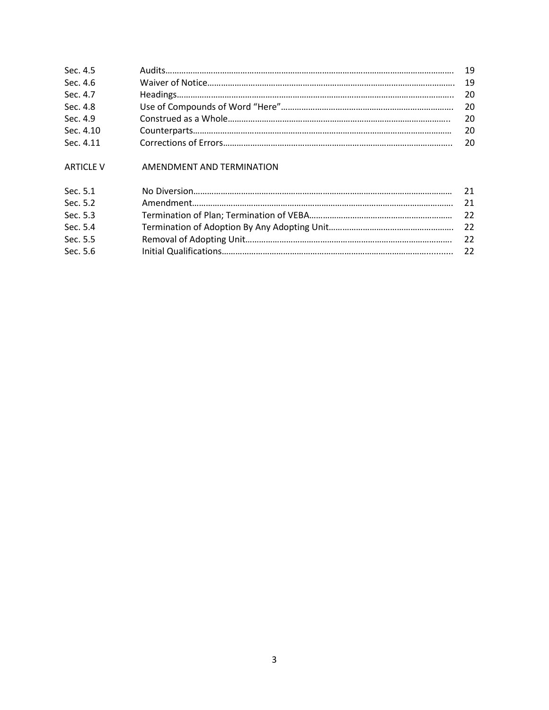| Sec. 4.5  |     |
|-----------|-----|
| Sec. 4.6  |     |
| Sec. 4.7  |     |
| Sec. 4.8  |     |
| Sec. 4.9  | 20  |
| Sec. 4.10 | 20  |
| Sec. 4.11 | -20 |

# ARTICLE V AMENDMENT AND TERMINATION

| Sec. 5.1 | 21   |
|----------|------|
| Sec. 5.2 |      |
| Sec. 5.3 |      |
| Sec. 5.4 |      |
| Sec. 5.5 | $22$ |
| Sec. 5.6 |      |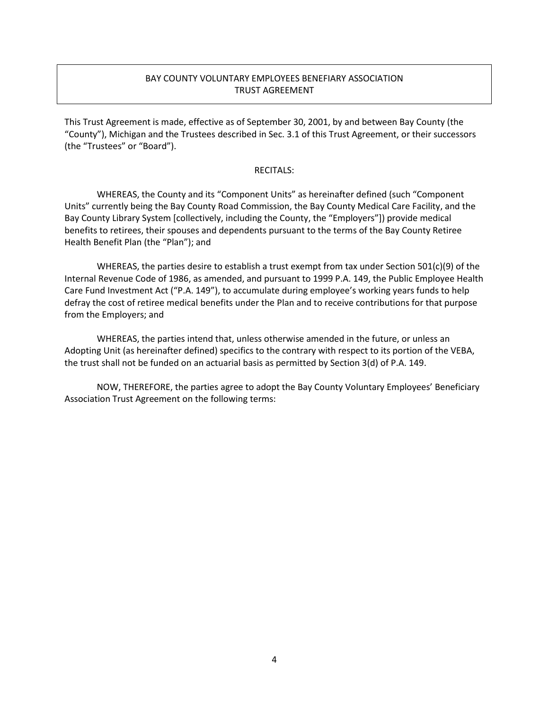# BAY COUNTY VOLUNTARY EMPLOYEES BENEFIARY ASSOCIATION TRUST AGREEMENT

This Trust Agreement is made, effective as of September 30, 2001, by and between Bay County (the "County"), Michigan and the Trustees described in Sec. 3.1 of this Trust Agreement, or their successors (the "Trustees" or "Board").

#### RECITALS:

WHEREAS, the County and its "Component Units" as hereinafter defined (such "Component Units" currently being the Bay County Road Commission, the Bay County Medical Care Facility, and the Bay County Library System [collectively, including the County, the "Employers"]) provide medical benefits to retirees, their spouses and dependents pursuant to the terms of the Bay County Retiree Health Benefit Plan (the "Plan"); and

WHEREAS, the parties desire to establish a trust exempt from tax under Section 501(c)(9) of the Internal Revenue Code of 1986, as amended, and pursuant to 1999 P.A. 149, the Public Employee Health Care Fund Investment Act ("P.A. 149"), to accumulate during employee's working years funds to help defray the cost of retiree medical benefits under the Plan and to receive contributions for that purpose from the Employers; and

WHEREAS, the parties intend that, unless otherwise amended in the future, or unless an Adopting Unit (as hereinafter defined) specifics to the contrary with respect to its portion of the VEBA, the trust shall not be funded on an actuarial basis as permitted by Section 3(d) of P.A. 149.

NOW, THEREFORE, the parties agree to adopt the Bay County Voluntary Employees' Beneficiary Association Trust Agreement on the following terms: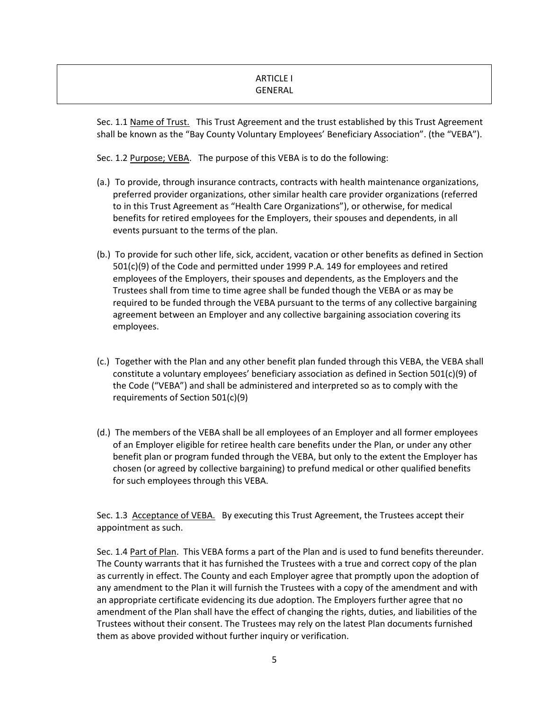# ARTICLE I GENERAL

Sec. 1.1 Name of Trust. This Trust Agreement and the trust established by this Trust Agreement shall be known as the "Bay County Voluntary Employees' Beneficiary Association". (the "VEBA").

Sec. 1.2 Purpose; VEBA. The purpose of this VEBA is to do the following:

- (a.) To provide, through insurance contracts, contracts with health maintenance organizations, preferred provider organizations, other similar health care provider organizations (referred to in this Trust Agreement as "Health Care Organizations"), or otherwise, for medical benefits for retired employees for the Employers, their spouses and dependents, in all events pursuant to the terms of the plan.
- (b.) To provide for such other life, sick, accident, vacation or other benefits as defined in Section 501(c)(9) of the Code and permitted under 1999 P.A. 149 for employees and retired employees of the Employers, their spouses and dependents, as the Employers and the Trustees shall from time to time agree shall be funded though the VEBA or as may be required to be funded through the VEBA pursuant to the terms of any collective bargaining agreement between an Employer and any collective bargaining association covering its employees.
- (c.) Together with the Plan and any other benefit plan funded through this VEBA, the VEBA shall constitute a voluntary employees' beneficiary association as defined in Section 501(c)(9) of the Code ("VEBA") and shall be administered and interpreted so as to comply with the requirements of Section 501(c)(9)
- (d.) The members of the VEBA shall be all employees of an Employer and all former employees of an Employer eligible for retiree health care benefits under the Plan, or under any other benefit plan or program funded through the VEBA, but only to the extent the Employer has chosen (or agreed by collective bargaining) to prefund medical or other qualified benefits for such employees through this VEBA.

Sec. 1.3 Acceptance of VEBA. By executing this Trust Agreement, the Trustees accept their appointment as such.

Sec. 1.4 Part of Plan. This VEBA forms a part of the Plan and is used to fund benefits thereunder. The County warrants that it has furnished the Trustees with a true and correct copy of the plan as currently in effect. The County and each Employer agree that promptly upon the adoption of any amendment to the Plan it will furnish the Trustees with a copy of the amendment and with an appropriate certificate evidencing its due adoption. The Employers further agree that no amendment of the Plan shall have the effect of changing the rights, duties, and liabilities of the Trustees without their consent. The Trustees may rely on the latest Plan documents furnished them as above provided without further inquiry or verification.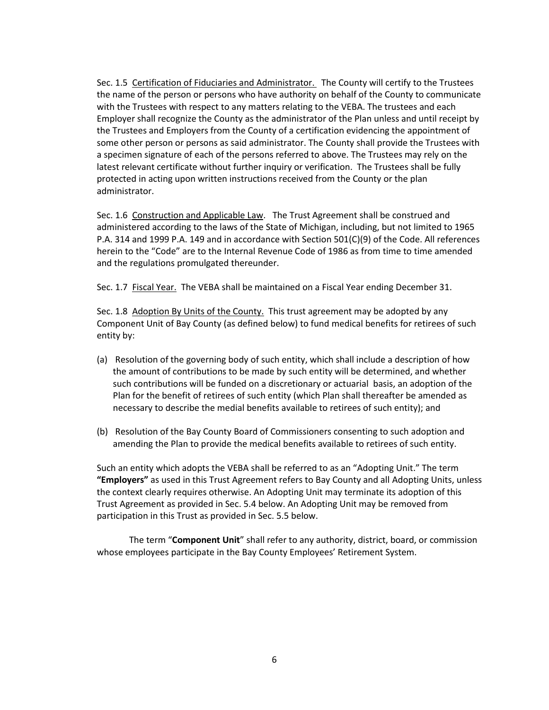Sec. 1.5 Certification of Fiduciaries and Administrator. The County will certify to the Trustees the name of the person or persons who have authority on behalf of the County to communicate with the Trustees with respect to any matters relating to the VEBA. The trustees and each Employer shall recognize the County as the administrator of the Plan unless and until receipt by the Trustees and Employers from the County of a certification evidencing the appointment of some other person or persons as said administrator. The County shall provide the Trustees with a specimen signature of each of the persons referred to above. The Trustees may rely on the latest relevant certificate without further inquiry or verification. The Trustees shall be fully protected in acting upon written instructions received from the County or the plan administrator.

Sec. 1.6 Construction and Applicable Law. The Trust Agreement shall be construed and administered according to the laws of the State of Michigan, including, but not limited to 1965 P.A. 314 and 1999 P.A. 149 and in accordance with Section 501(C)(9) of the Code. All references herein to the "Code" are to the Internal Revenue Code of 1986 as from time to time amended and the regulations promulgated thereunder.

Sec. 1.7 Fiscal Year. The VEBA shall be maintained on a Fiscal Year ending December 31.

Sec. 1.8 Adoption By Units of the County. This trust agreement may be adopted by any Component Unit of Bay County (as defined below) to fund medical benefits for retirees of such entity by:

- (a) Resolution of the governing body of such entity, which shall include a description of how the amount of contributions to be made by such entity will be determined, and whether such contributions will be funded on a discretionary or actuarial basis, an adoption of the Plan for the benefit of retirees of such entity (which Plan shall thereafter be amended as necessary to describe the medial benefits available to retirees of such entity); and
- (b) Resolution of the Bay County Board of Commissioners consenting to such adoption and amending the Plan to provide the medical benefits available to retirees of such entity.

Such an entity which adopts the VEBA shall be referred to as an "Adopting Unit." The term **"Employers"** as used in this Trust Agreement refers to Bay County and all Adopting Units, unless the context clearly requires otherwise. An Adopting Unit may terminate its adoption of this Trust Agreement as provided in Sec. 5.4 below. An Adopting Unit may be removed from participation in this Trust as provided in Sec. 5.5 below.

The term "**Component Unit**" shall refer to any authority, district, board, or commission whose employees participate in the Bay County Employees' Retirement System.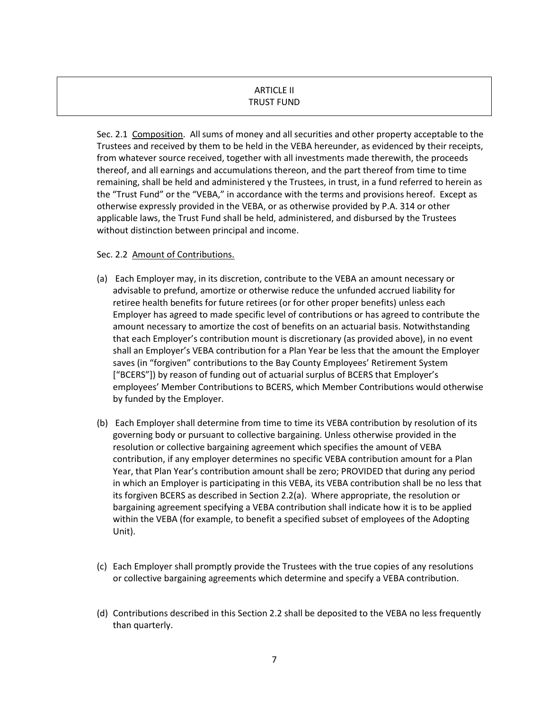# ARTICLE II TRUST FUND

Sec. 2.1 Composition. All sums of money and all securities and other property acceptable to the Trustees and received by them to be held in the VEBA hereunder, as evidenced by their receipts, from whatever source received, together with all investments made therewith, the proceeds thereof, and all earnings and accumulations thereon, and the part thereof from time to time remaining, shall be held and administered y the Trustees, in trust, in a fund referred to herein as the "Trust Fund" or the "VEBA," in accordance with the terms and provisions hereof. Except as otherwise expressly provided in the VEBA, or as otherwise provided by P.A. 314 or other applicable laws, the Trust Fund shall be held, administered, and disbursed by the Trustees without distinction between principal and income.

# Sec. 2.2 Amount of Contributions.

- (a) Each Employer may, in its discretion, contribute to the VEBA an amount necessary or advisable to prefund, amortize or otherwise reduce the unfunded accrued liability for retiree health benefits for future retirees (or for other proper benefits) unless each Employer has agreed to made specific level of contributions or has agreed to contribute the amount necessary to amortize the cost of benefits on an actuarial basis. Notwithstanding that each Employer's contribution mount is discretionary (as provided above), in no event shall an Employer's VEBA contribution for a Plan Year be less that the amount the Employer saves (in "forgiven" contributions to the Bay County Employees' Retirement System ["BCERS"]) by reason of funding out of actuarial surplus of BCERS that Employer's employees' Member Contributions to BCERS, which Member Contributions would otherwise by funded by the Employer.
- (b) Each Employer shall determine from time to time its VEBA contribution by resolution of its governing body or pursuant to collective bargaining. Unless otherwise provided in the resolution or collective bargaining agreement which specifies the amount of VEBA contribution, if any employer determines no specific VEBA contribution amount for a Plan Year, that Plan Year's contribution amount shall be zero; PROVIDED that during any period in which an Employer is participating in this VEBA, its VEBA contribution shall be no less that its forgiven BCERS as described in Section 2.2(a). Where appropriate, the resolution or bargaining agreement specifying a VEBA contribution shall indicate how it is to be applied within the VEBA (for example, to benefit a specified subset of employees of the Adopting Unit).
- (c) Each Employer shall promptly provide the Trustees with the true copies of any resolutions or collective bargaining agreements which determine and specify a VEBA contribution.
- (d) Contributions described in this Section 2.2 shall be deposited to the VEBA no less frequently than quarterly.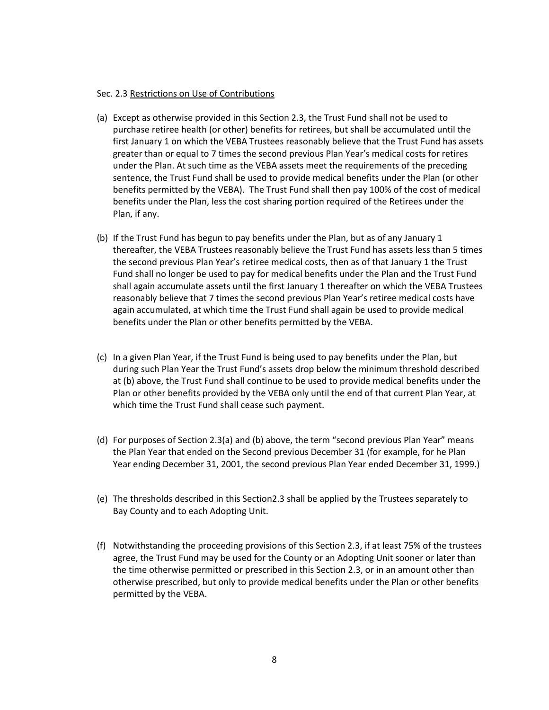#### Sec. 2.3 Restrictions on Use of Contributions

- (a) Except as otherwise provided in this Section 2.3, the Trust Fund shall not be used to purchase retiree health (or other) benefits for retirees, but shall be accumulated until the first January 1 on which the VEBA Trustees reasonably believe that the Trust Fund has assets greater than or equal to 7 times the second previous Plan Year's medical costs for retires under the Plan. At such time as the VEBA assets meet the requirements of the preceding sentence, the Trust Fund shall be used to provide medical benefits under the Plan (or other benefits permitted by the VEBA). The Trust Fund shall then pay 100% of the cost of medical benefits under the Plan, less the cost sharing portion required of the Retirees under the Plan, if any.
- (b) If the Trust Fund has begun to pay benefits under the Plan, but as of any January 1 thereafter, the VEBA Trustees reasonably believe the Trust Fund has assets less than 5 times the second previous Plan Year's retiree medical costs, then as of that January 1 the Trust Fund shall no longer be used to pay for medical benefits under the Plan and the Trust Fund shall again accumulate assets until the first January 1 thereafter on which the VEBA Trustees reasonably believe that 7 times the second previous Plan Year's retiree medical costs have again accumulated, at which time the Trust Fund shall again be used to provide medical benefits under the Plan or other benefits permitted by the VEBA.
- (c) In a given Plan Year, if the Trust Fund is being used to pay benefits under the Plan, but during such Plan Year the Trust Fund's assets drop below the minimum threshold described at (b) above, the Trust Fund shall continue to be used to provide medical benefits under the Plan or other benefits provided by the VEBA only until the end of that current Plan Year, at which time the Trust Fund shall cease such payment.
- (d) For purposes of Section 2.3(a) and (b) above, the term "second previous Plan Year" means the Plan Year that ended on the Second previous December 31 (for example, for he Plan Year ending December 31, 2001, the second previous Plan Year ended December 31, 1999.)
- (e) The thresholds described in this Section2.3 shall be applied by the Trustees separately to Bay County and to each Adopting Unit.
- (f) Notwithstanding the proceeding provisions of this Section 2.3, if at least 75% of the trustees agree, the Trust Fund may be used for the County or an Adopting Unit sooner or later than the time otherwise permitted or prescribed in this Section 2.3, or in an amount other than otherwise prescribed, but only to provide medical benefits under the Plan or other benefits permitted by the VEBA.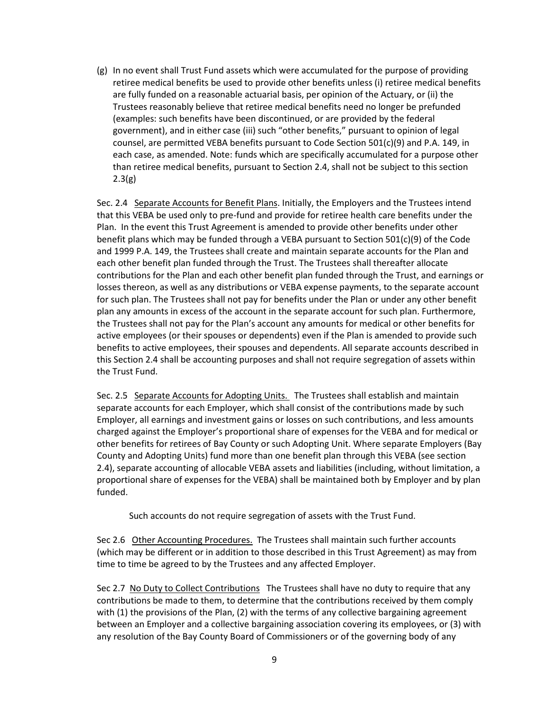(g) In no event shall Trust Fund assets which were accumulated for the purpose of providing retiree medical benefits be used to provide other benefits unless (i) retiree medical benefits are fully funded on a reasonable actuarial basis, per opinion of the Actuary, or (ii) the Trustees reasonably believe that retiree medical benefits need no longer be prefunded (examples: such benefits have been discontinued, or are provided by the federal government), and in either case (iii) such "other benefits," pursuant to opinion of legal counsel, are permitted VEBA benefits pursuant to Code Section 501(c)(9) and P.A. 149, in each case, as amended. Note: funds which are specifically accumulated for a purpose other than retiree medical benefits, pursuant to Section 2.4, shall not be subject to this section  $2.3(g)$ 

Sec. 2.4 Separate Accounts for Benefit Plans. Initially, the Employers and the Trustees intend that this VEBA be used only to pre-fund and provide for retiree health care benefits under the Plan. In the event this Trust Agreement is amended to provide other benefits under other benefit plans which may be funded through a VEBA pursuant to Section 501(c)(9) of the Code and 1999 P.A. 149, the Trustees shall create and maintain separate accounts for the Plan and each other benefit plan funded through the Trust. The Trustees shall thereafter allocate contributions for the Plan and each other benefit plan funded through the Trust, and earnings or losses thereon, as well as any distributions or VEBA expense payments, to the separate account for such plan. The Trustees shall not pay for benefits under the Plan or under any other benefit plan any amounts in excess of the account in the separate account for such plan. Furthermore, the Trustees shall not pay for the Plan's account any amounts for medical or other benefits for active employees (or their spouses or dependents) even if the Plan is amended to provide such benefits to active employees, their spouses and dependents. All separate accounts described in this Section 2.4 shall be accounting purposes and shall not require segregation of assets within the Trust Fund.

Sec. 2.5 Separate Accounts for Adopting Units. The Trustees shall establish and maintain separate accounts for each Employer, which shall consist of the contributions made by such Employer, all earnings and investment gains or losses on such contributions, and less amounts charged against the Employer's proportional share of expenses for the VEBA and for medical or other benefits for retirees of Bay County or such Adopting Unit. Where separate Employers (Bay County and Adopting Units) fund more than one benefit plan through this VEBA (see section 2.4), separate accounting of allocable VEBA assets and liabilities (including, without limitation, a proportional share of expenses for the VEBA) shall be maintained both by Employer and by plan funded.

Such accounts do not require segregation of assets with the Trust Fund.

Sec 2.6 Other Accounting Procedures. The Trustees shall maintain such further accounts (which may be different or in addition to those described in this Trust Agreement) as may from time to time be agreed to by the Trustees and any affected Employer.

Sec 2.7 No Duty to Collect Contributions The Trustees shall have no duty to require that any contributions be made to them, to determine that the contributions received by them comply with (1) the provisions of the Plan, (2) with the terms of any collective bargaining agreement between an Employer and a collective bargaining association covering its employees, or (3) with any resolution of the Bay County Board of Commissioners or of the governing body of any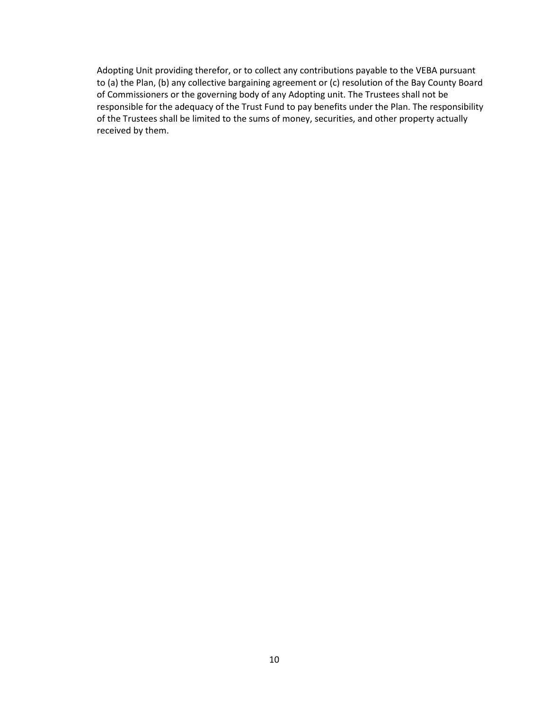Adopting Unit providing therefor, or to collect any contributions payable to the VEBA pursuant to (a) the Plan, (b) any collective bargaining agreement or (c) resolution of the Bay County Board of Commissioners or the governing body of any Adopting unit. The Trustees shall not be responsible for the adequacy of the Trust Fund to pay benefits under the Plan. The responsibility of the Trustees shall be limited to the sums of money, securities, and other property actually received by them.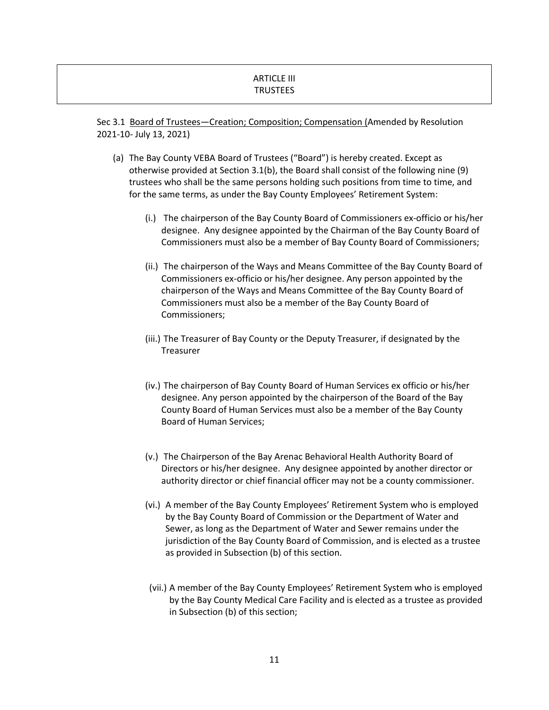# ARTICLE III **TRUSTEES**

Sec 3.1 Board of Trustees—Creation; Composition; Compensation (Amended by Resolution 2021-10- July 13, 2021)

- (a) The Bay County VEBA Board of Trustees ("Board") is hereby created. Except as otherwise provided at Section 3.1(b), the Board shall consist of the following nine (9) trustees who shall be the same persons holding such positions from time to time, and for the same terms, as under the Bay County Employees' Retirement System:
	- (i.) The chairperson of the Bay County Board of Commissioners ex-officio or his/her designee. Any designee appointed by the Chairman of the Bay County Board of Commissioners must also be a member of Bay County Board of Commissioners;
	- (ii.) The chairperson of the Ways and Means Committee of the Bay County Board of Commissioners ex-officio or his/her designee. Any person appointed by the chairperson of the Ways and Means Committee of the Bay County Board of Commissioners must also be a member of the Bay County Board of Commissioners;
	- (iii.) The Treasurer of Bay County or the Deputy Treasurer, if designated by the Treasurer
	- (iv.) The chairperson of Bay County Board of Human Services ex officio or his/her designee. Any person appointed by the chairperson of the Board of the Bay County Board of Human Services must also be a member of the Bay County Board of Human Services;
	- (v.) The Chairperson of the Bay Arenac Behavioral Health Authority Board of Directors or his/her designee. Any designee appointed by another director or authority director or chief financial officer may not be a county commissioner.
	- (vi.) A member of the Bay County Employees' Retirement System who is employed by the Bay County Board of Commission or the Department of Water and Sewer, as long as the Department of Water and Sewer remains under the jurisdiction of the Bay County Board of Commission, and is elected as a trustee as provided in Subsection (b) of this section.
	- (vii.) A member of the Bay County Employees' Retirement System who is employed by the Bay County Medical Care Facility and is elected as a trustee as provided in Subsection (b) of this section;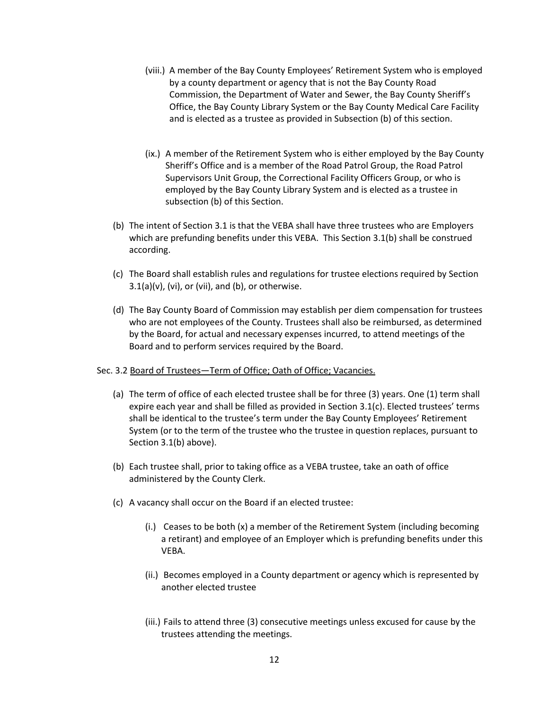- (viii.) A member of the Bay County Employees' Retirement System who is employed by a county department or agency that is not the Bay County Road Commission, the Department of Water and Sewer, the Bay County Sheriff's Office, the Bay County Library System or the Bay County Medical Care Facility and is elected as a trustee as provided in Subsection (b) of this section.
- (ix.) A member of the Retirement System who is either employed by the Bay County Sheriff's Office and is a member of the Road Patrol Group, the Road Patrol Supervisors Unit Group, the Correctional Facility Officers Group, or who is employed by the Bay County Library System and is elected as a trustee in subsection (b) of this Section.
- (b) The intent of Section 3.1 is that the VEBA shall have three trustees who are Employers which are prefunding benefits under this VEBA. This Section 3.1(b) shall be construed according.
- (c) The Board shall establish rules and regulations for trustee elections required by Section  $3.1(a)(v)$ , (vi), or (vii), and (b), or otherwise.
- (d) The Bay County Board of Commission may establish per diem compensation for trustees who are not employees of the County. Trustees shall also be reimbursed, as determined by the Board, for actual and necessary expenses incurred, to attend meetings of the Board and to perform services required by the Board.

### Sec. 3.2 Board of Trustees—Term of Office; Oath of Office; Vacancies.

- (a) The term of office of each elected trustee shall be for three (3) years. One (1) term shall expire each year and shall be filled as provided in Section 3.1(c). Elected trustees' terms shall be identical to the trustee's term under the Bay County Employees' Retirement System (or to the term of the trustee who the trustee in question replaces, pursuant to Section 3.1(b) above).
- (b) Each trustee shall, prior to taking office as a VEBA trustee, take an oath of office administered by the County Clerk.
- (c) A vacancy shall occur on the Board if an elected trustee:
	- (i.) Ceases to be both (x) a member of the Retirement System (including becoming a retirant) and employee of an Employer which is prefunding benefits under this VEBA.
	- (ii.) Becomes employed in a County department or agency which is represented by another elected trustee
	- (iii.) Fails to attend three (3) consecutive meetings unless excused for cause by the trustees attending the meetings.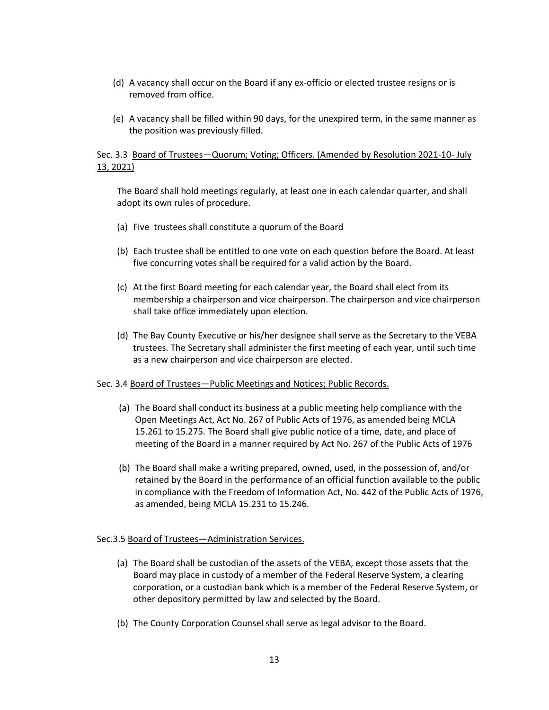- (d) A vacancy shall occur on the Board if any ex-officio or elected trustee resigns or is removed from office.
- (e) A vacancy shall be filled within 90 days, for the unexpired term, in the same manner as the position was previously filled.

### Sec. 3.3 Board of Trustees—Quorum; Voting; Officers. (Amended by Resolution 2021-10- July 13, 2021)

The Board shall hold meetings regularly, at least one in each calendar quarter, and shall adopt its own rules of procedure.

- (a) Five trustees shall constitute a quorum of the Board
- (b) Each trustee shall be entitled to one vote on each question before the Board. At least five concurring votes shall be required for a valid action by the Board.
- (c) At the first Board meeting for each calendar year, the Board shall elect from its membership a chairperson and vice chairperson. The chairperson and vice chairperson shall take office immediately upon election.
- (d) The Bay County Executive or his/her designee shall serve as the Secretary to the VEBA trustees. The Secretary shall administer the first meeting of each year, until such time as a new chairperson and vice chairperson are elected.

#### Sec. 3.4 Board of Trustees—Public Meetings and Notices; Public Records.

- (a) The Board shall conduct its business at a public meeting help compliance with the Open Meetings Act, Act No. 267 of Public Acts of 1976, as amended being MCLA 15.261 to 15.275. The Board shall give public notice of a time, date, and place of meeting of the Board in a manner required by Act No. 267 of the Public Acts of 1976
- (b) The Board shall make a writing prepared, owned, used, in the possession of, and/or retained by the Board in the performance of an official function available to the public in compliance with the Freedom of Information Act, No. 442 of the Public Acts of 1976, as amended, being MCLA 15.231 to 15.246.

#### Sec.3.5 Board of Trustees—Administration Services.

- (a) The Board shall be custodian of the assets of the VEBA, except those assets that the Board may place in custody of a member of the Federal Reserve System, a clearing corporation, or a custodian bank which is a member of the Federal Reserve System, or other depository permitted by law and selected by the Board.
- (b) The County Corporation Counsel shall serve as legal advisor to the Board.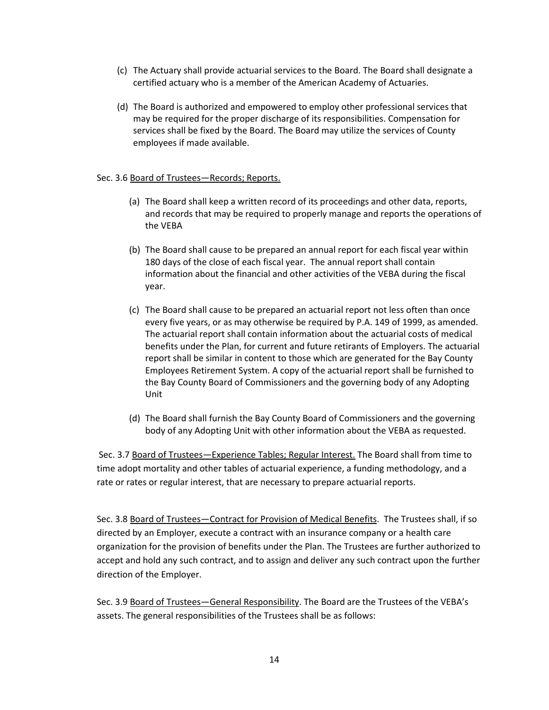- (c) The Actuary shall provide actuarial services to the Board. The Board shall designate a certified actuary who is a member of the American Academy of Actuaries.
- (d) The Board is authorized and empowered to employ other professional services that may be required for the proper discharge of its responsibilities. Compensation for services shall be fixed by the Board. The Board may utilize the services of County employees if made available.

#### Sec. 3.6 Board of Trustees-Records; Reports.

- (a) The Board shall keep a written record of its proceedings and other data, reports, and records that may be required to properly manage and reports the operations of the VEBA
- (b) The Board shall cause to be prepared an annual report for each fiscal year within 180 days of the close of each fiscal year. The annual report shall contain information about the financial and other activities of the VEBA during the fiscal year.
- (c) The Board shall cause to be prepared an actuarial report not less often than once every five years, or as may otherwise be required by P.A. 149 of 1999, as amended. The actuarial report shall contain information about the actuarial costs of medical benefits under the Plan, for current and future retirants of Employers. The actuarial report shall be similar in content to those which are generated for the Bay County Employees Retirement System. A copy of the actuarial report shall be furnished to the Bay County Board of Commissioners and the governing body of any Adopting Unit
- (d) The Board shall furnish the Bay County Board of Commissioners and the governing body of any Adopting Unit with other information about the VEBA as requested.

Sec. 3.7 Board of Trustees-Experience Tables; Regular Interest. The Board shall from time to time adopt mortality and other tables of actuarial experience, a funding methodology, and a rate or rates or regular interest, that are necessary to prepare actuarial reports.

Sec. 3.8 Board of Trustees—Contract for Provision of Medical Benefits. The Trustees shall, if so directed by an Employer, execute a contract with an insurance company or a health care organization for the provision of benefits under the Plan. The Trustees are further authorized to accept and hold any such contract, and to assign and deliver any such contract upon the further direction of the Employer.

Sec. 3.9 Board of Trustees—General Responsibility. The Board are the Trustees of the VEBA's assets. The general responsibilities of the Trustees shall be as follows: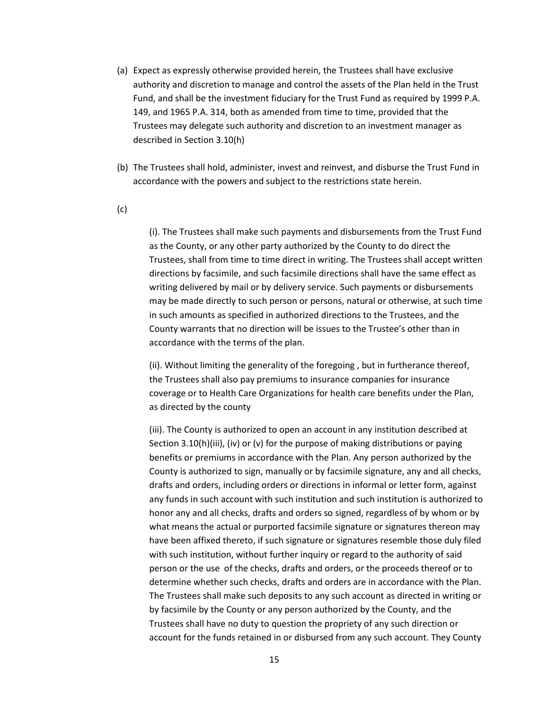- (a) Expect as expressly otherwise provided herein, the Trustees shall have exclusive authority and discretion to manage and control the assets of the Plan held in the Trust Fund, and shall be the investment fiduciary for the Trust Fund as required by 1999 P.A. 149, and 1965 P.A. 314, both as amended from time to time, provided that the Trustees may delegate such authority and discretion to an investment manager as described in Section 3.10(h)
- (b) The Trustees shall hold, administer, invest and reinvest, and disburse the Trust Fund in accordance with the powers and subject to the restrictions state herein.
- (c)

(i). The Trustees shall make such payments and disbursements from the Trust Fund as the County, or any other party authorized by the County to do direct the Trustees, shall from time to time direct in writing. The Trustees shall accept written directions by facsimile, and such facsimile directions shall have the same effect as writing delivered by mail or by delivery service. Such payments or disbursements may be made directly to such person or persons, natural or otherwise, at such time in such amounts as specified in authorized directions to the Trustees, and the County warrants that no direction will be issues to the Trustee's other than in accordance with the terms of the plan.

(ii). Without limiting the generality of the foregoing , but in furtherance thereof, the Trustees shall also pay premiums to insurance companies for insurance coverage or to Health Care Organizations for health care benefits under the Plan, as directed by the county

(iii). The County is authorized to open an account in any institution described at Section 3.10(h)(iii), (iv) or (v) for the purpose of making distributions or paying benefits or premiums in accordance with the Plan. Any person authorized by the County is authorized to sign, manually or by facsimile signature, any and all checks, drafts and orders, including orders or directions in informal or letter form, against any funds in such account with such institution and such institution is authorized to honor any and all checks, drafts and orders so signed, regardless of by whom or by what means the actual or purported facsimile signature or signatures thereon may have been affixed thereto, if such signature or signatures resemble those duly filed with such institution, without further inquiry or regard to the authority of said person or the use of the checks, drafts and orders, or the proceeds thereof or to determine whether such checks, drafts and orders are in accordance with the Plan. The Trustees shall make such deposits to any such account as directed in writing or by facsimile by the County or any person authorized by the County, and the Trustees shall have no duty to question the propriety of any such direction or account for the funds retained in or disbursed from any such account. They County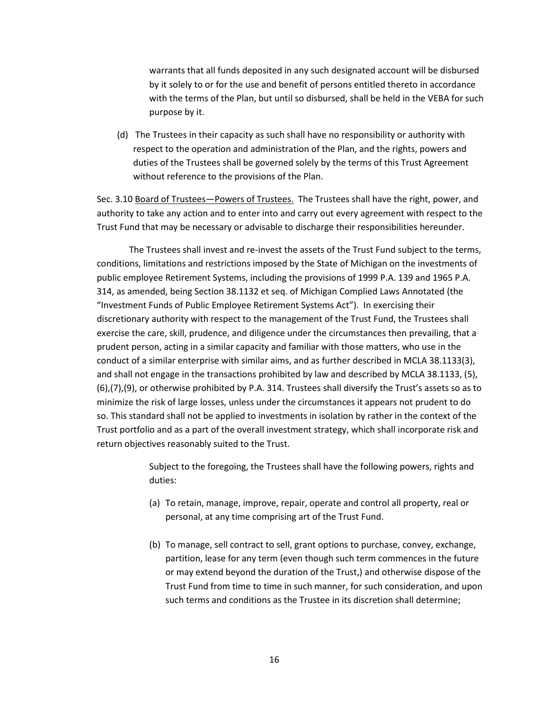warrants that all funds deposited in any such designated account will be disbursed by it solely to or for the use and benefit of persons entitled thereto in accordance with the terms of the Plan, but until so disbursed, shall be held in the VEBA for such purpose by it.

(d) The Trustees in their capacity as such shall have no responsibility or authority with respect to the operation and administration of the Plan, and the rights, powers and duties of the Trustees shall be governed solely by the terms of this Trust Agreement without reference to the provisions of the Plan.

Sec. 3.10 Board of Trustees—Powers of Trustees. The Trustees shall have the right, power, and authority to take any action and to enter into and carry out every agreement with respect to the Trust Fund that may be necessary or advisable to discharge their responsibilities hereunder.

The Trustees shall invest and re-invest the assets of the Trust Fund subject to the terms, conditions, limitations and restrictions imposed by the State of Michigan on the investments of public employee Retirement Systems, including the provisions of 1999 P.A. 139 and 1965 P.A. 314, as amended, being Section 38.1132 et seq. of Michigan Complied Laws Annotated (the "Investment Funds of Public Employee Retirement Systems Act"). In exercising their discretionary authority with respect to the management of the Trust Fund, the Trustees shall exercise the care, skill, prudence, and diligence under the circumstances then prevailing, that a prudent person, acting in a similar capacity and familiar with those matters, who use in the conduct of a similar enterprise with similar aims, and as further described in MCLA 38.1133(3), and shall not engage in the transactions prohibited by law and described by MCLA 38.1133, (5), (6),(7),(9), or otherwise prohibited by P.A. 314. Trustees shall diversify the Trust's assets so as to minimize the risk of large losses, unless under the circumstances it appears not prudent to do so. This standard shall not be applied to investments in isolation by rather in the context of the Trust portfolio and as a part of the overall investment strategy, which shall incorporate risk and return objectives reasonably suited to the Trust.

> Subject to the foregoing, the Trustees shall have the following powers, rights and duties:

- (a) To retain, manage, improve, repair, operate and control all property, real or personal, at any time comprising art of the Trust Fund.
- (b) To manage, sell contract to sell, grant options to purchase, convey, exchange, partition, lease for any term (even though such term commences in the future or may extend beyond the duration of the Trust,) and otherwise dispose of the Trust Fund from time to time in such manner, for such consideration, and upon such terms and conditions as the Trustee in its discretion shall determine;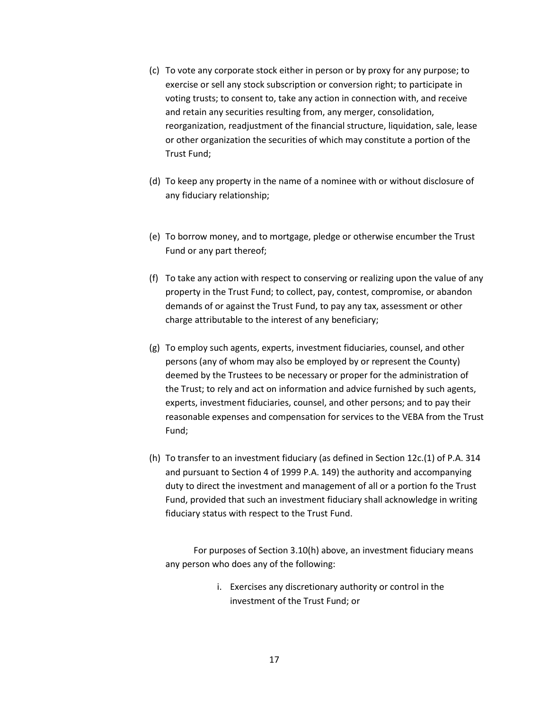- (c) To vote any corporate stock either in person or by proxy for any purpose; to exercise or sell any stock subscription or conversion right; to participate in voting trusts; to consent to, take any action in connection with, and receive and retain any securities resulting from, any merger, consolidation, reorganization, readjustment of the financial structure, liquidation, sale, lease or other organization the securities of which may constitute a portion of the Trust Fund;
- (d) To keep any property in the name of a nominee with or without disclosure of any fiduciary relationship;
- (e) To borrow money, and to mortgage, pledge or otherwise encumber the Trust Fund or any part thereof;
- (f) To take any action with respect to conserving or realizing upon the value of any property in the Trust Fund; to collect, pay, contest, compromise, or abandon demands of or against the Trust Fund, to pay any tax, assessment or other charge attributable to the interest of any beneficiary;
- (g) To employ such agents, experts, investment fiduciaries, counsel, and other persons (any of whom may also be employed by or represent the County) deemed by the Trustees to be necessary or proper for the administration of the Trust; to rely and act on information and advice furnished by such agents, experts, investment fiduciaries, counsel, and other persons; and to pay their reasonable expenses and compensation for services to the VEBA from the Trust Fund;
- (h) To transfer to an investment fiduciary (as defined in Section 12c.(1) of P.A. 314 and pursuant to Section 4 of 1999 P.A. 149) the authority and accompanying duty to direct the investment and management of all or a portion fo the Trust Fund, provided that such an investment fiduciary shall acknowledge in writing fiduciary status with respect to the Trust Fund.

For purposes of Section 3.10(h) above, an investment fiduciary means any person who does any of the following:

> i. Exercises any discretionary authority or control in the investment of the Trust Fund; or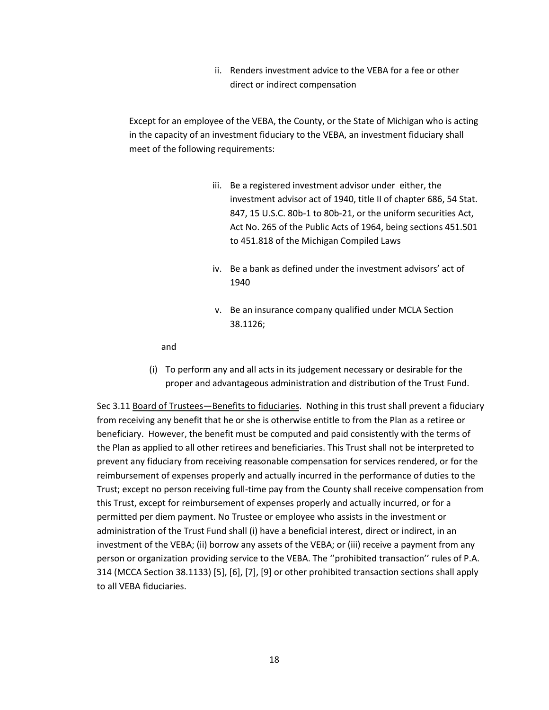ii. Renders investment advice to the VEBA for a fee or other direct or indirect compensation

Except for an employee of the VEBA, the County, or the State of Michigan who is acting in the capacity of an investment fiduciary to the VEBA, an investment fiduciary shall meet of the following requirements:

- iii. Be a registered investment advisor under either, the investment advisor act of 1940, title II of chapter 686, 54 Stat. 847, 15 U.S.C. 80b-1 to 80b-21, or the uniform securities Act, Act No. 265 of the Public Acts of 1964, being sections 451.501 to 451.818 of the Michigan Compiled Laws
- iv. Be a bank as defined under the investment advisors' act of 1940
- v. Be an insurance company qualified under MCLA Section 38.1126;

and

(i) To perform any and all acts in its judgement necessary or desirable for the proper and advantageous administration and distribution of the Trust Fund.

Sec 3.11 Board of Trustees—Benefits to fiduciaries. Nothing in this trust shall prevent a fiduciary from receiving any benefit that he or she is otherwise entitle to from the Plan as a retiree or beneficiary. However, the benefit must be computed and paid consistently with the terms of the Plan as applied to all other retirees and beneficiaries. This Trust shall not be interpreted to prevent any fiduciary from receiving reasonable compensation for services rendered, or for the reimbursement of expenses properly and actually incurred in the performance of duties to the Trust; except no person receiving full-time pay from the County shall receive compensation from this Trust, except for reimbursement of expenses properly and actually incurred, or for a permitted per diem payment. No Trustee or employee who assists in the investment or administration of the Trust Fund shall (i) have a beneficial interest, direct or indirect, in an investment of the VEBA; (ii) borrow any assets of the VEBA; or (iii) receive a payment from any person or organization providing service to the VEBA. The ''prohibited transaction'' rules of P.A. 314 (MCCA Section 38.1133) [5], [6], [7], [9] or other prohibited transaction sections shall apply to all VEBA fiduciaries.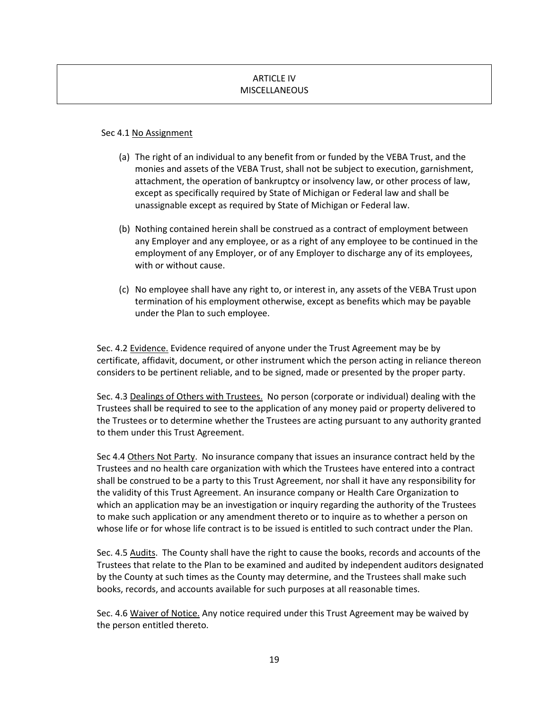# ARTICLE IV MISCELLANEOUS

#### Sec 4.1 No Assignment

- (a) The right of an individual to any benefit from or funded by the VEBA Trust, and the monies and assets of the VEBA Trust, shall not be subject to execution, garnishment, attachment, the operation of bankruptcy or insolvency law, or other process of law, except as specifically required by State of Michigan or Federal law and shall be unassignable except as required by State of Michigan or Federal law.
- (b) Nothing contained herein shall be construed as a contract of employment between any Employer and any employee, or as a right of any employee to be continued in the employment of any Employer, or of any Employer to discharge any of its employees, with or without cause.
- (c) No employee shall have any right to, or interest in, any assets of the VEBA Trust upon termination of his employment otherwise, except as benefits which may be payable under the Plan to such employee.

Sec. 4.2 Evidence. Evidence required of anyone under the Trust Agreement may be by certificate, affidavit, document, or other instrument which the person acting in reliance thereon considers to be pertinent reliable, and to be signed, made or presented by the proper party.

Sec. 4.3 Dealings of Others with Trustees. No person (corporate or individual) dealing with the Trustees shall be required to see to the application of any money paid or property delivered to the Trustees or to determine whether the Trustees are acting pursuant to any authority granted to them under this Trust Agreement.

Sec 4.4 Others Not Party. No insurance company that issues an insurance contract held by the Trustees and no health care organization with which the Trustees have entered into a contract shall be construed to be a party to this Trust Agreement, nor shall it have any responsibility for the validity of this Trust Agreement. An insurance company or Health Care Organization to which an application may be an investigation or inquiry regarding the authority of the Trustees to make such application or any amendment thereto or to inquire as to whether a person on whose life or for whose life contract is to be issued is entitled to such contract under the Plan.

Sec. 4.5 Audits. The County shall have the right to cause the books, records and accounts of the Trustees that relate to the Plan to be examined and audited by independent auditors designated by the County at such times as the County may determine, and the Trustees shall make such books, records, and accounts available for such purposes at all reasonable times.

Sec. 4.6 Waiver of Notice. Any notice required under this Trust Agreement may be waived by the person entitled thereto.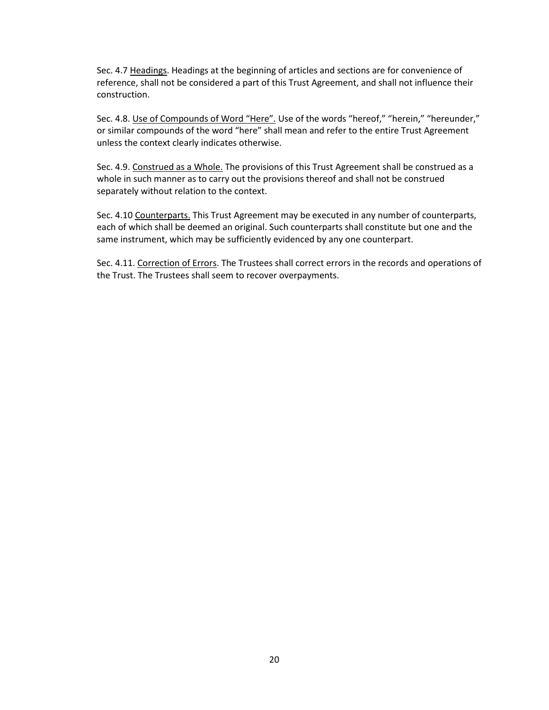Sec. 4.7 Headings. Headings at the beginning of articles and sections are for convenience of reference, shall not be considered a part of this Trust Agreement, and shall not influence their construction.

Sec. 4.8. Use of Compounds of Word "Here". Use of the words "hereof," "herein," "hereunder," or similar compounds of the word "here" shall mean and refer to the entire Trust Agreement unless the context clearly indicates otherwise.

Sec. 4.9. Construed as a Whole. The provisions of this Trust Agreement shall be construed as a whole in such manner as to carry out the provisions thereof and shall not be construed separately without relation to the context.

Sec. 4.10 Counterparts. This Trust Agreement may be executed in any number of counterparts, each of which shall be deemed an original. Such counterparts shall constitute but one and the same instrument, which may be sufficiently evidenced by any one counterpart.

Sec. 4.11. Correction of Errors. The Trustees shall correct errors in the records and operations of the Trust. The Trustees shall seem to recover overpayments.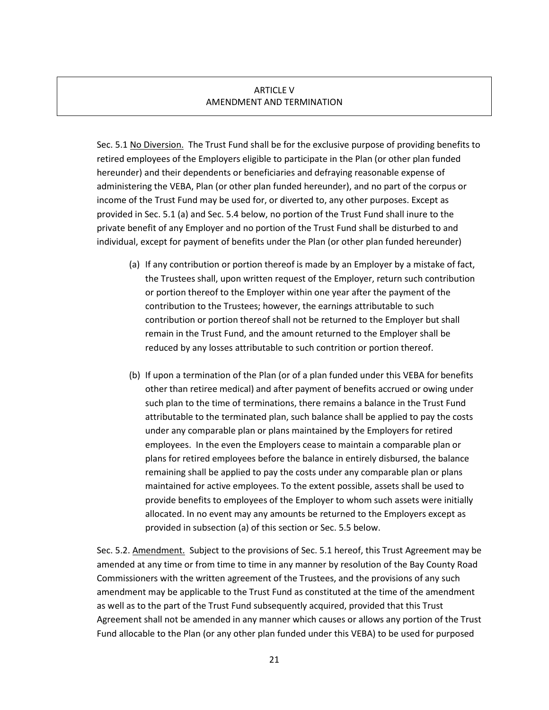#### ARTICLE V AMENDMENT AND TERMINATION

Sec. 5.1 No Diversion. The Trust Fund shall be for the exclusive purpose of providing benefits to retired employees of the Employers eligible to participate in the Plan (or other plan funded hereunder) and their dependents or beneficiaries and defraying reasonable expense of administering the VEBA, Plan (or other plan funded hereunder), and no part of the corpus or income of the Trust Fund may be used for, or diverted to, any other purposes. Except as provided in Sec. 5.1 (a) and Sec. 5.4 below, no portion of the Trust Fund shall inure to the private benefit of any Employer and no portion of the Trust Fund shall be disturbed to and individual, except for payment of benefits under the Plan (or other plan funded hereunder)

- (a) If any contribution or portion thereof is made by an Employer by a mistake of fact, the Trustees shall, upon written request of the Employer, return such contribution or portion thereof to the Employer within one year after the payment of the contribution to the Trustees; however, the earnings attributable to such contribution or portion thereof shall not be returned to the Employer but shall remain in the Trust Fund, and the amount returned to the Employer shall be reduced by any losses attributable to such contrition or portion thereof.
- (b) If upon a termination of the Plan (or of a plan funded under this VEBA for benefits other than retiree medical) and after payment of benefits accrued or owing under such plan to the time of terminations, there remains a balance in the Trust Fund attributable to the terminated plan, such balance shall be applied to pay the costs under any comparable plan or plans maintained by the Employers for retired employees. In the even the Employers cease to maintain a comparable plan or plans for retired employees before the balance in entirely disbursed, the balance remaining shall be applied to pay the costs under any comparable plan or plans maintained for active employees. To the extent possible, assets shall be used to provide benefits to employees of the Employer to whom such assets were initially allocated. In no event may any amounts be returned to the Employers except as provided in subsection (a) of this section or Sec. 5.5 below.

Sec. 5.2. Amendment. Subject to the provisions of Sec. 5.1 hereof, this Trust Agreement may be amended at any time or from time to time in any manner by resolution of the Bay County Road Commissioners with the written agreement of the Trustees, and the provisions of any such amendment may be applicable to the Trust Fund as constituted at the time of the amendment as well as to the part of the Trust Fund subsequently acquired, provided that this Trust Agreement shall not be amended in any manner which causes or allows any portion of the Trust Fund allocable to the Plan (or any other plan funded under this VEBA) to be used for purposed